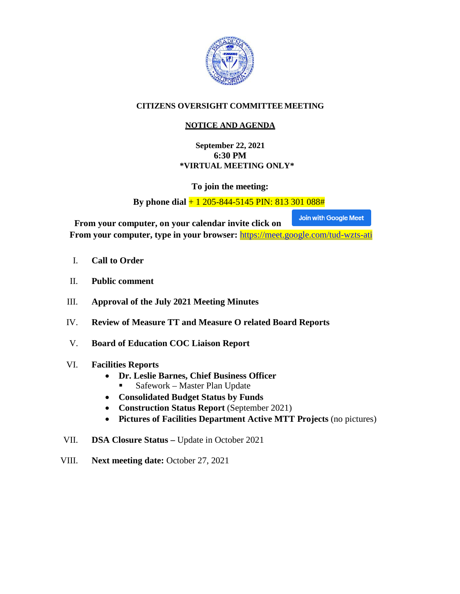

#### **CITIZENS OVERSIGHT COMMITTEE MEETING**

#### **NOTICE AND AGENDA**

**September 22, 2021 6:30 PM \*VIRTUAL MEETING ONLY\***

**To join the meeting:**

**By phone dial** + 1 205-844-5145 PIN: 813 301 088#

Join with Google Meet **From your computer, on your calendar invite click on From your computer, type in your browser:** <https://meet.google.com/tud-wzts-ati>

- I. **Call to Order**
- II. **Public comment**
- III. **Approval of the July 2021 Meeting Minutes**
- IV. **Review of Measure TT and Measure O related Board Reports**
- V. **Board of Education COC Liaison Report**
- VI. **Facilities Reports**
	- **Dr. Leslie Barnes, Chief Business Officer**
		- Safework Master Plan Update
	- **Consolidated Budget Status by Funds**
	- **Construction Status Report** (September 2021)
	- **Pictures of Facilities Department Active MTT Projects** (no pictures)
- VII. **DSA Closure Status –** Update in October 2021
- VIII. **Next meeting date:** October 27, 2021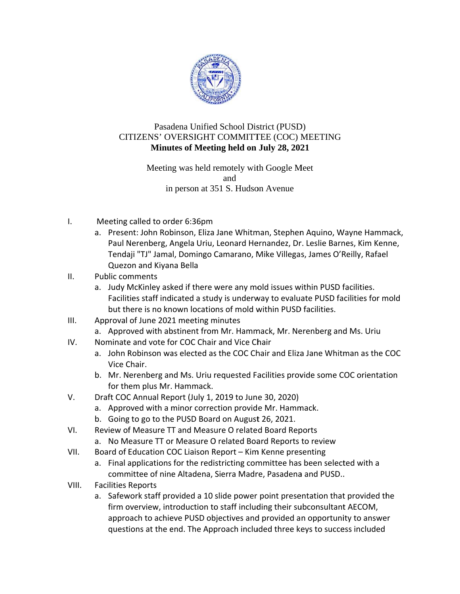

#### CITIZENS' OVERSIGHT COMMITTEE (COC) MEETING Pasadena Unified School District (PUSD) **Minutes of Meeting held on July 28, 2021**

Meeting was held remotely with Google Meet in person at 351 S. Hudson Avenue and

- I. Meeting called to order 6:36pm
	- a. Present: John Robinson, Eliza Jane Whitman, Stephen Aquino, Wayne Hammack, Paul Nerenberg, Angela Uriu, Leonard Hernandez, Dr. Leslie Barnes, Kim Kenne, Tendaji "TJ" Jamal, Domingo Camarano, Mike Villegas, James O'Reilly, Rafael Quezon and Kiyana Bella
- II. Public comments
	- a. Judy McKinley asked if there were any mold issues within PUSD facilities. Facilities staff indicated a study is underway to evaluate PUSD facilities for mold but there is no known locations of mold within PUSD facilities.
- III. Approval of June 202 1 meeting m minutes
	- a. Approved with abstinent from Mr. Hammack, Mr. Nerenberg and Ms. Uriu
- IV. Nominate and vote for COC Chair and Vice Chair
	- a. John Robinson was elected as the COC Chair and Eliza Jane Whitman as the COC Vice C Chair.
	- b. Mr. Nerenberg and Ms. Uriu requested Facilities provide some COC orientation for th em plus Mr. Hammack.
- V. Draft COC Annual Report (July 1, 2019 to June 30, 2020)
	- a. Approved with a minor correction provide Mr. Hammack.
	- b. Going to go to the PUSD Board on August 26, 2021.
- VI. Review of Measure TT and Measure O related Board Reports
	- a. No Measure TT or Measure O related Board Reports to review
- VII. Board of Education COC Liaison Report - Kim Kenne presenting
	- a. Final applications for the redistricting committee has been selected with a committee of nine Altadena, Sierra Madre, Pasadena and PUSD..
- VIII. Facilities Reports
	- a. Safework staff provided a 10 slide power point presentation that provided the firm overview, introduction to staff including their subconsultant AECOM, approach to achieve PUSD objectives and provided an opportunity to answer questions at the end. The Approach included three keys to success included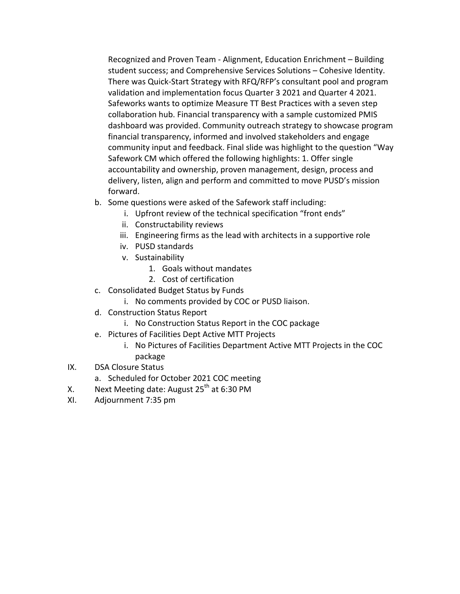Recognized and Proven Team ‐ Alignment, Education Enrichment – Building student success; and Comprehensive Services Solutions – Cohesive Identity. There was Quick‐Start Strategy with RFQ/RFP's consultant pool and program validation and implementation focus Quarter 3 2021 and Quarter 4 2021. Safeworks wants to optimize Measure TT Best Practices with a seven step collaboration hub. Financial transparency with a sample customized PMIS dashboard was provided. Community outreach strategy to showcase program financial transparency, informed and involved stakeholders and engage community input and feedback. Final slide was highlight to the question "Way Safework CM which offered the following highlights: 1. Offer single accountability and ownership, proven management, design, process and delivery, listen, align and perform and committed to move PUSD's mission forward.

- b. Some questions were asked of the Safework staff including:
	- i. Upfront review of the technical specification "front ends"
	- ii. Constructability reviews
	- iii. Engineering firms as the lead with architects in a supportive role
	- iv. PUSD standards
	- v. Sustainability
		- 1. Goals without mandates
		- 2. Cost of certification
- c. Consolidated Budget Status by Funds
	- i. No comments provided by COC or PUSD liaison.
- d. Construction Status Report
	- i. No Construction Status Report in the COC package
- e. Pictures of Facilities Dept Active MTT Projects
	- i. No Pictures of Facilities Department Active MTT Projects in the COC package
- IX. DSA Closure Status
	- a. Scheduled for October 2021 COC meeting
- X. Next Meeting date: August  $25<sup>th</sup>$  at 6:30 PM
- XI. Adjournment 7:35 pm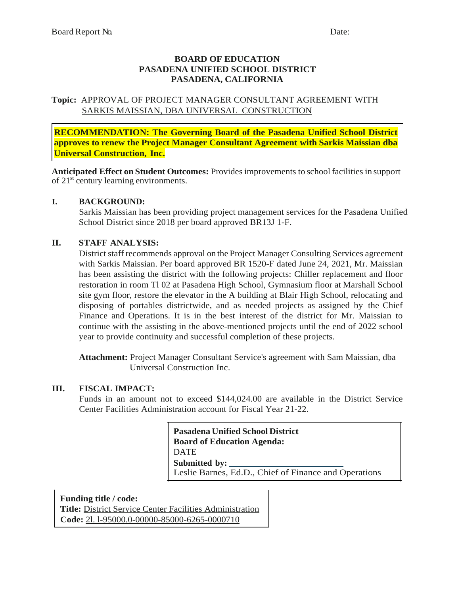#### **BOARD OF EDUCATION PASADENA UNIFIED SCHOOL DISTRICT PASADENA, CALIFORNIA**

#### **Topic:** APPROVAL OF PROJECT MANAGER CONSULTANT AGREEMENT WITH SARKIS MAISSIAN, DBA UNIVERSAL CONSTRUCTION

**RECOMMENDATION: The Governing Board of the Pasadena Unified School District approves to renew the Project Manager Consultant Agreement with Sarkis Maissian dba Universal Construction, Inc.**

**Anticipated Effect on Student Outcomes:** Provides improvements to school facilities in support of  $21<sup>st</sup>$  century learning environments.

#### **I. BACKGROUND:**

Sarkis Maissian has been providing project management services for the Pasadena Unified School District since 2018 per board approved BR13J 1-F.

#### **II. STAFF ANALYSIS:**

District staff recommends approval on the Project Manager Consulting Services agreement with Sarkis Maissian. Per board approved BR 1520-F dated June 24, 2021, Mr. Maissian has been assisting the district with the following projects: Chiller replacement and floor restoration in room Tl 02 at Pasadena High School, Gymnasium floor at Marshall School site gym floor, restore the elevator in the A building at Blair High School, relocating and disposing of portables districtwide, and as needed projects as assigned by the Chief Finance and Operations. It is in the best interest of the district for Mr. Maissian to continue with the assisting in the above-mentioned projects until the end of 2022 school year to provide continuity and successful completion of these projects.

**Attachment:** Project Manager Consultant Service's agreement with Sam Maissian, dba Universal Construction Inc.

#### **III. FISCAL IMPACT:**

Funds in an amount not to exceed \$144,024.00 are available in the District Service Center Facilities Administration account for Fiscal Year 21-22.

> Leslie Barnes, Ed.D., Chief of Finance and Operations **Submitted by: Pasadena Unified School District Board of Education Agenda:**  DATE

**Funding title / code: Title:** District Service Center Facilities Administration **Code:** 2l. l-95000.0-00000-85000-6265-0000710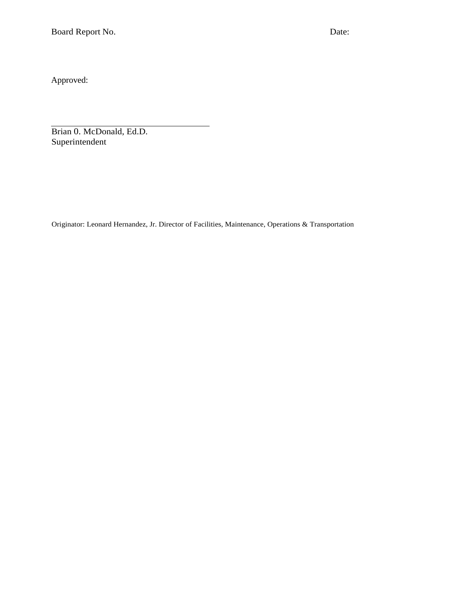Approved:

Brian 0. McDonald, Ed.D. Superintendent

Originator: Leonard Hernandez, Jr. Director of Facilities, Maintenance, Operations & Transportation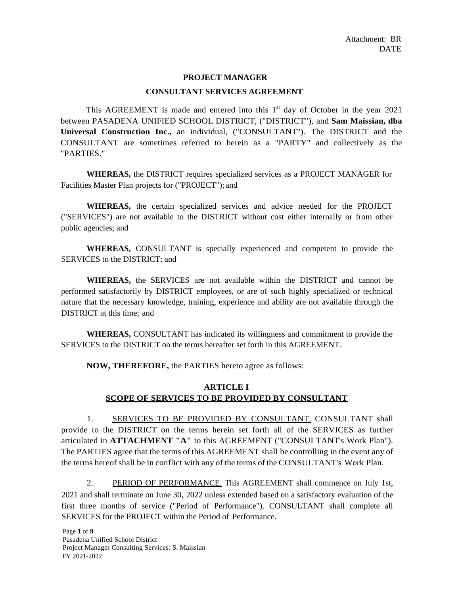#### **PROJECT MANAGER**

#### **CONSULTANT SERVICES AGREEMENT**

This AGREEMENT is made and entered into this  $1<sup>st</sup>$  day of October in the year 2021 between PASADENA UNIFIED SCHOOL DISTRICT, ("DISTRICT"), and **Sam Maissian, dba Universal Construction Inc.,** an individual, ("CONSULTANT"). The DISTRICT and the CONSULTANT are sometimes referred to herein as a "PARTY" and collectively as the "PARTIES."

**WHEREAS,** the DISTRICT requires specialized services as a PROJECT MANAGER for Facilities Master Plan projects for ("PROJECT"); and

**WHEREAS,** the certain specialized services and advice needed for the PROJECT ("SERVICES") are not available to the DISTRICT without cost either internally or from other public agencies; and

**WHEREAS,** CONSULTANT is specially experienced and competent to provide the SERVICES to the DISTRICT; and

**WHEREAS,** the SERVICES are not available within the DISTRICT and cannot be performed satisfactorily by DISTRICT employees, or are of such highly specialized or technical nature that the necessary knowledge, training, experience and ability are not available through the DISTRICT at this time; and

**WHEREAS,** CONSULTANT has indicated its willingness and commitment to provide the SERVICES to the DISTRICT on the terms hereafter set forth in this AGREEMENT.

**NOW, THEREFORE,** the PARTIES hereto agree as follows:

#### **ARTICLE I SCOPE OF SERVICES TO BE PROVIDED BY CONSULTANT**

1. SERVICES TO BE PROVIDED BY CONSULTANT. CONSULTANT shall provide to the DISTRICT on the terms herein set forth all of the SERVICES as further articulated in **ATTACHMENT "A"** to this AGREEMENT ("CONSULTANT's Work Plan"). The PARTIES agree that the terms of this AGREEMENT shall be controlling in the event any of the terms hereof shall be in conflict with any of the terms of the CONSULTANT's Work Plan.

2. PERIOD OF PERFORMANCE. This AGREEMENT shall commence on July 1st, 2021 and shall terminate on June 30, 2022 unless extended based on a satisfactory evaluation of the first three months of service ("Period of Performance"). CONSULTANT shall complete all SERVICES for the PROJECT within the Period of Performance.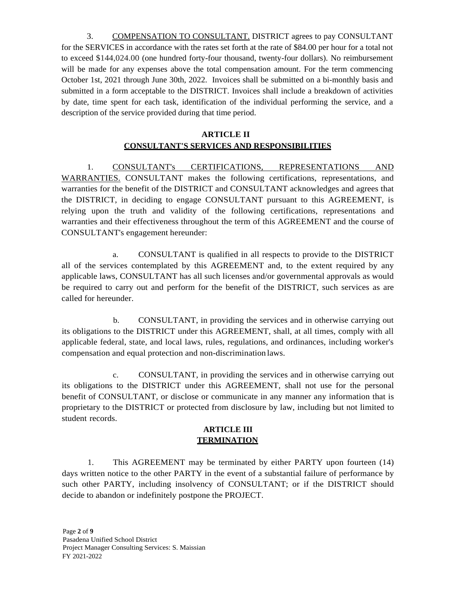3. COMPENSATION TO CONSULTANT. DISTRICT agrees to pay CONSULTANT for the SERVICES in accordance with the rates set forth at the rate of \$84.00 per hour for a total not to exceed \$144,024.00 (one hundred forty-four thousand, twenty-four dollars). No reimbursement will be made for any expenses above the total compensation amount. For the term commencing October 1st, 2021 through June 30th, 2022. Invoices shall be submitted on a bi-monthly basis and submitted in a form acceptable to the DISTRICT. Invoices shall include a breakdown of activities by date, time spent for each task, identification of the individual performing the service, and a description of the service provided during that time period.

#### **ARTICLE II CONSULTANT'S SERVICES AND RESPONSIBILITIES**

1. CONSULTANT's CERTIFICATIONS, REPRESENTATIONS AND WARRANTIES. CONSULTANT makes the following certifications, representations, and warranties for the benefit of the DISTRICT and CONSULTANT acknowledges and agrees that the DISTRICT, in deciding to engage CONSULTANT pursuant to this AGREEMENT, is relying upon the truth and validity of the following certifications, representations and warranties and their effectiveness throughout the term of this AGREEMENT and the course of CONSULTANT's engagement hereunder:

a. CONSULTANT is qualified in all respects to provide to the DISTRICT all of the services contemplated by this AGREEMENT and, to the extent required by any applicable laws, CONSULTANT has all such licenses and/or governmental approvals as would be required to carry out and perform for the benefit of the DISTRICT, such services as are called for hereunder.

b. CONSULTANT, in providing the services and in otherwise carrying out its obligations to the DISTRICT under this AGREEMENT, shall, at all times, comply with all applicable federal, state, and local laws, rules, regulations, and ordinances, including worker's compensation and equal protection and non-discrimination laws.

c. CONSULTANT, in providing the services and in otherwise carrying out its obligations to the DISTRICT under this AGREEMENT, shall not use for the personal benefit of CONSULTANT, or disclose or communicate in any manner any information that is proprietary to the DISTRICT or protected from disclosure by law, including but not limited to student records.

#### **ARTICLE III TERMINATION**

1. This AGREEMENT may be terminated by either PARTY upon fourteen (14) days written notice to the other PARTY in the event of a substantial failure of performance by such other PARTY, including insolvency of CONSULTANT; or if the DISTRICT should decide to abandon or indefinitely postpone the PROJECT.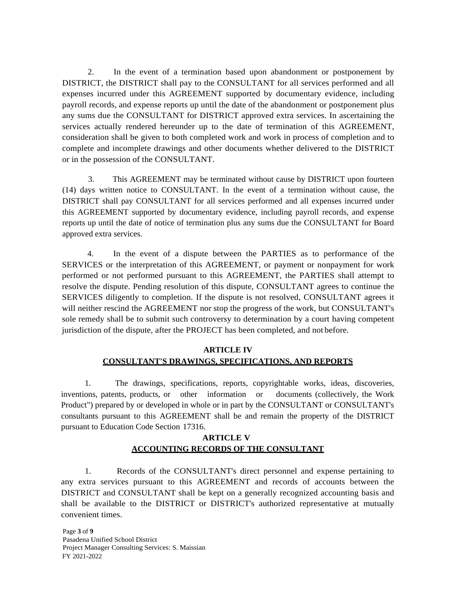2. In the event of a termination based upon abandonment or postponement by DISTRICT, the DISTRICT shall pay to the CONSULTANT for all services performed and all expenses incurred under this AGREEMENT supported by documentary evidence, including payroll records, and expense reports up until the date of the abandonment or postponement plus any sums due the CONSULTANT for DISTRICT approved extra services. In ascertaining the services actually rendered hereunder up to the date of termination of this AGREEMENT, consideration shall be given to both completed work and work in process of completion and to complete and incomplete drawings and other documents whether delivered to the DISTRICT or in the possession of the CONSULTANT.

3. This AGREEMENT may be terminated without cause by DISTRICT upon fourteen (14) days written notice to CONSULTANT. In the event of a termination without cause, the DISTRICT shall pay CONSULTANT for all services performed and all expenses incurred under this AGREEMENT supported by documentary evidence, including payroll records, and expense reports up until the date of notice of termination plus any sums due the CONSULTANT for Board approved extra services.

4. In the event of a dispute between the PARTIES as to performance of the SERVICES or the interpretation of this AGREEMENT, or payment or nonpayment for work performed or not performed pursuant to this AGREEMENT, the PARTIES shall attempt to resolve the dispute. Pending resolution of this dispute, CONSULTANT agrees to continue the SERVICES diligently to completion. If the dispute is not resolved, CONSULTANT agrees it will neither rescind the AGREEMENT nor stop the progress of the work, but CONSULTANT's sole remedy shall be to submit such controversy to determination by a court having competent jurisdiction of the dispute, after the PROJECT has been completed, and not before.

#### **ARTICLE IV CONSULTANT'S DRAWINGS, SPECIFICATIONS, AND REPORTS**

1. The drawings, specifications, reports, copyrightable works, ideas, discoveries, inventions, patents, products, or other information or documents (collectively, the Work Product") prepared by or developed in whole or in part by the CONSULTANT or CONSULTANT's consultants pursuant to this AGREEMENT shall be and remain the property of the DISTRICT pursuant to Education Code Section 17316.

#### **ARTICLE V ACCOUNTING RECORDS OF THE CONSULTANT**

1. Records of the CONSULTANT's direct personnel and expense pertaining to any extra services pursuant to this AGREEMENT and records of accounts between the DISTRICT and CONSULTANT shall be kept on a generally recognized accounting basis and shall be available to the DISTRICT or DISTRICT's authorized representative at mutually convenient times.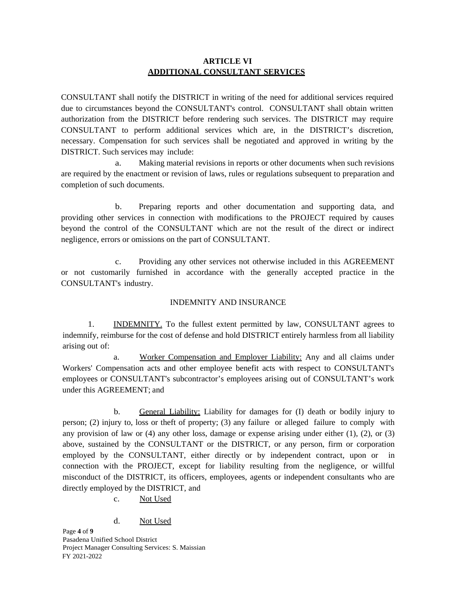#### **ARTICLE VI ADDITIONAL CONSULTANT SERVICES**

CONSULTANT shall notify the DISTRICT in writing of the need for additional services required due to circumstances beyond the CONSULTANT's control. CONSULTANT shall obtain written authorization from the DISTRICT before rendering such services. The DISTRICT may require CONSULTANT to perform additional services which are, in the DISTRICT's discretion, necessary. Compensation for such services shall be negotiated and approved in writing by the DISTRICT. Such services may include:

a. Making material revisions in reports or other documents when such revisions are required by the enactment or revision of laws, rules or regulations subsequent to preparation and completion of such documents.

b. Preparing reports and other documentation and supporting data, and providing other services in connection with modifications to the PROJECT required by causes beyond the control of the CONSULTANT which are not the result of the direct or indirect negligence, errors or omissions on the part of CONSULTANT.

c. Providing any other services not otherwise included in this AGREEMENT or not customarily furnished in accordance with the generally accepted practice in the CONSULTANT's industry.

#### INDEMNITY AND INSURANCE

1. INDEMNITY. To the fullest extent permitted by law, CONSULTANT agrees to indemnify, reimburse for the cost of defense and hold DISTRICT entirely harmless from all liability arising out of:

a. Worker Compensation and Employer Liability: Any and all claims under Workers' Compensation acts and other employee benefit acts with respect to CONSULTANT's employees or CONSULTANT's subcontractor's employees arising out of CONSULTANT's work under this AGREEMENT; and

b. General Liability: Liability for damages for (I) death or bodily injury to person; (2) injury to, loss or theft of property; (3) any failure or alleged failure to comply with any provision of law or  $(4)$  any other loss, damage or expense arising under either  $(1)$ ,  $(2)$ , or  $(3)$ above, sustained by the CONSULTANT or the DISTRICT, or any person, firm or corporation employed by the CONSULTANT, either directly or by independent contract, upon or in connection with the PROJECT, except for liability resulting from the negligence, or willful misconduct of the DISTRICT, its officers, employees, agents or independent consultants who are directly employed by the DISTRICT, and

c. Not Used

#### d. Not Used

Page **4** of **9** Pasadena Unified School District Project Manager Consulting Services: S. Maissian FY 2021-2022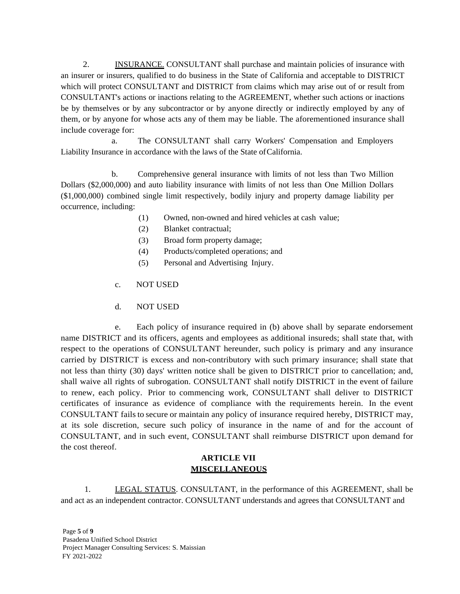2. INSURANCE. CONSULTANT shall purchase and maintain policies of insurance with an insurer or insurers, qualified to do business in the State of California and acceptable to DISTRICT which will protect CONSULTANT and DISTRICT from claims which may arise out of or result from CONSULTANT's actions or inactions relating to the AGREEMENT, whether such actions or inactions be by themselves or by any subcontractor or by anyone directly or indirectly employed by any of them, or by anyone for whose acts any of them may be liable. The aforementioned insurance shall include coverage for:

a. The CONSULTANT shall carry Workers' Compensation and Employers Liability Insurance in accordance with the laws of the State of California.

b. Comprehensive general insurance with limits of not less than Two Million Dollars (\$2,000,000) and auto liability insurance with limits of not less than One Million Dollars (\$1,000,000) combined single limit respectively, bodily injury and property damage liability per occurrence, including:

- (1) Owned, non-owned and hired vehicles at cash value;
- (2) Blanket contractual;
- (3) Broad form property damage;
- (4) Products/completed operations; and
- (5) Personal and Advertising Injury.
- c. NOT USED
- d. NOT USED

e. Each policy of insurance required in (b) above shall by separate endorsement name DISTRICT and its officers, agents and employees as additional insureds; shall state that, with respect to the operations of CONSULTANT hereunder, such policy is primary and any insurance carried by DISTRICT is excess and non-contributory with such primary insurance; shall state that not less than thirty (30) days' written notice shall be given to DISTRICT prior to cancellation; and, shall waive all rights of subrogation. CONSULTANT shall notify DISTRICT in the event of failure to renew, each policy. Prior to commencing work, CONSULTANT shall deliver to DISTRICT certificates of insurance as evidence of compliance with the requirements herein. In the event CONSULTANT fails to secure or maintain any policy of insurance required hereby, DISTRICT may, at its sole discretion, secure such policy of insurance in the name of and for the account of CONSULTANT, and in such event, CONSULTANT shall reimburse DISTRICT upon demand for the cost thereof.

#### **ARTICLE VII MISCELLANEOUS**

1. LEGAL STATUS. CONSULTANT, in the performance of this AGREEMENT, shall be and act as an independent contractor. CONSULTANT understands and agrees that CONSULTANT and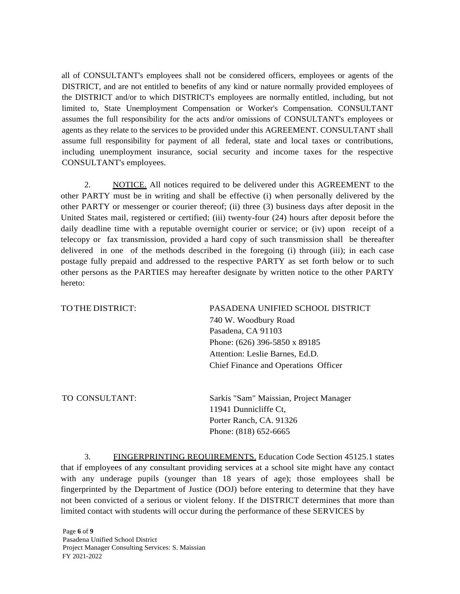all of CONSULTANT's employees shall not be considered officers, employees or agents of the DISTRICT, and are not entitled to benefits of any kind or nature normally provided employees of the DISTRICT and/or to which DISTRICT's employees are normally entitled, including, but not limited to, State Unemployment Compensation or Worker's Compensation. CONSULTANT assumes the full responsibility for the acts and/or omissions of CONSULTANT's employees or agents as they relate to the services to be provided under this AGREEMENT. CONSULTANT shall assume full responsibility for payment of all federal, state and local taxes or contributions, including unemployment insurance, social security and income taxes for the respective CONSULTANT's employees.

2. NOTICE. All notices required to be delivered under this AGREEMENT to the other PARTY must be in writing and shall be effective (i) when personally delivered by the other PARTY or messenger or courier thereof; (ii) three (3) business days after deposit in the United States mail, registered or certified; (iii) twenty-four (24) hours after deposit before the daily deadline time with a reputable overnight courier or service; or (iv) upon receipt of a telecopy or fax transmission, provided a hard copy of such transmission shall be thereafter delivered in one of the methods described in the foregoing (i) through (iii); in each case postage fully prepaid and addressed to the respective PARTY as set forth below or to such other persons as the PARTIES may hereafter designate by written notice to the other PARTY hereto:

| TO THE DISTRICT: | PASADENA UNIFIED SCHOOL DISTRICT       |  |  |  |  |  |  |
|------------------|----------------------------------------|--|--|--|--|--|--|
|                  | 740 W. Woodbury Road                   |  |  |  |  |  |  |
|                  | Pasadena, CA 91103                     |  |  |  |  |  |  |
|                  | Phone: $(626)$ 396-5850 x 89185        |  |  |  |  |  |  |
|                  | Attention: Leslie Barnes, Ed.D.        |  |  |  |  |  |  |
|                  | Chief Finance and Operations Officer   |  |  |  |  |  |  |
| TO CONSULTANT:   | Sarkis "Sam" Maissian, Project Manager |  |  |  |  |  |  |
|                  | 11941 Dunnicliffe Ct,                  |  |  |  |  |  |  |
|                  | Porter Ranch, CA. 91326                |  |  |  |  |  |  |

3. FINGERPRINTING REQUIREMENTS. Education Code Section 45125.1 states that if employees of any consultant providing services at a school site might have any contact with any underage pupils (younger than 18 years of age); those employees shall be fingerprinted by the Department of Justice (DOJ) before entering to determine that they have not been convicted of a serious or violent felony. If the DISTRICT determines that more than limited contact with students will occur during the performance of these SERVICES by

Phone: (818) 652-6665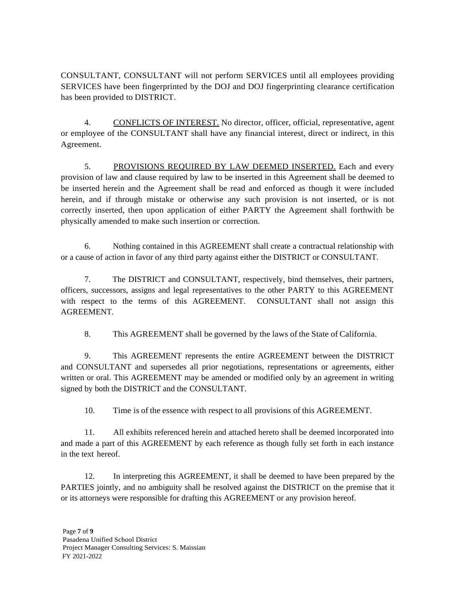CONSULTANT, CONSULTANT will not perform SERVICES until all employees providing SERVICES have been fingerprinted by the DOJ and DOJ fingerprinting clearance certification has been provided to DISTRICT.

4. CONFLICTS OF INTEREST. No director, officer, official, representative, agent or employee of the CONSULTANT shall have any financial interest, direct or indirect, in this Agreement.

5. PROVISIONS REQUIRED BY LAW DEEMED INSERTED. Each and every provision of law and clause required by law to be inserted in this Agreement shall be deemed to be inserted herein and the Agreement shall be read and enforced as though it were included herein, and if through mistake or otherwise any such provision is not inserted, or is not correctly inserted, then upon application of either PARTY the Agreement shall forthwith be physically amended to make such insertion or correction.

6. Nothing contained in this AGREEMENT shall create a contractual relationship with or a cause of action in favor of any third party against either the DISTRICT or CONSULTANT.

7. The DISTRICT and CONSULTANT, respectively, bind themselves, their partners, officers, successors, assigns and legal representatives to the other PARTY to this AGREEMENT with respect to the terms of this AGREEMENT. CONSULTANT shall not assign this AGREEMENT.

8. This AGREEMENT shall be governed by the laws of the State of California.

9. This AGREEMENT represents the entire AGREEMENT between the DISTRICT and CONSULTANT and supersedes all prior negotiations, representations or agreements, either written or oral. This AGREEMENT may be amended or modified only by an agreement in writing signed by both the DISTRICT and the CONSULTANT.

10. Time is of the essence with respect to all provisions of this AGREEMENT.

11. All exhibits referenced herein and attached hereto shall be deemed incorporated into and made a part of this AGREEMENT by each reference as though fully set forth in each instance in the text hereof.

12. In interpreting this AGREEMENT, it shall be deemed to have been prepared by the PARTIES jointly, and no ambiguity shall be resolved against the DISTRICT on the premise that it or its attorneys were responsible for drafting this AGREEMENT or any provision hereof.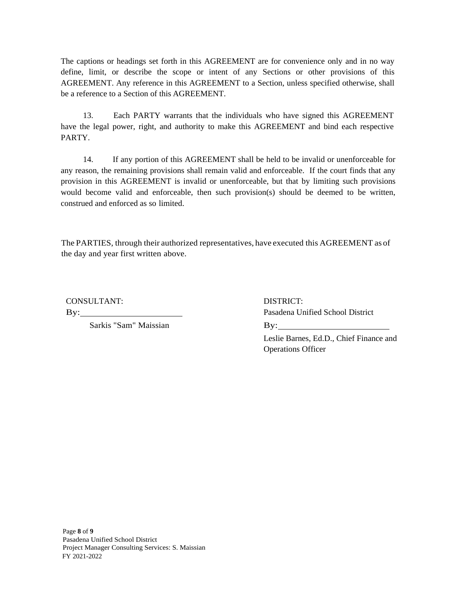The captions or headings set forth in this AGREEMENT are for convenience only and in no way define, limit, or describe the scope or intent of any Sections or other provisions of this AGREEMENT. Any reference in this AGREEMENT to a Section, unless specified otherwise, shall be a reference to a Section of this AGREEMENT.

13. Each PARTY warrants that the individuals who have signed this AGREEMENT have the legal power, right, and authority to make this AGREEMENT and bind each respective PARTY.

14. If any portion of this AGREEMENT shall be held to be invalid or unenforceable for any reason, the remaining provisions shall remain valid and enforceable. If the court finds that any provision in this AGREEMENT is invalid or unenforceable, but that by limiting such provisions would become valid and enforceable, then such provision(s) should be deemed to be written, construed and enforced as so limited.

The PARTIES, through their authorized representatives, have executed this AGREEMENT as of the day and year first written above.

CONSULTANT: DISTRICT:

Sarkis "Sam" Maissian By:

By: Pasadena Unified School District

Leslie Barnes, Ed.D., Chief Finance and Operations Officer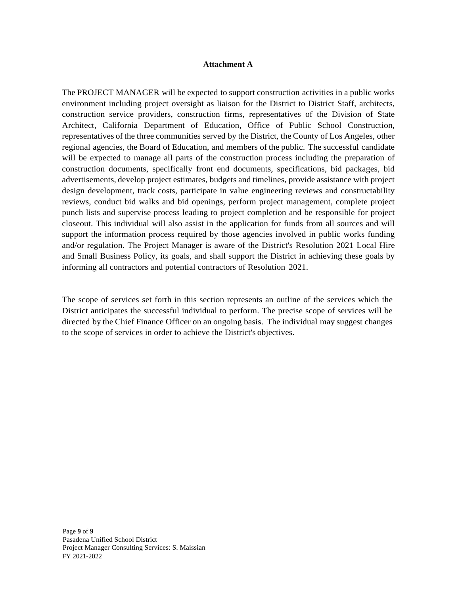#### **Attachment A**

The PROJECT MANAGER will be expected to support construction activities in a public works environment including project oversight as liaison for the District to District Staff, architects, construction service providers, construction firms, representatives of the Division of State Architect, California Department of Education, Office of Public School Construction, representatives of the three communities served by the District, the County of Los Angeles, other regional agencies, the Board of Education, and members of the public. The successful candidate will be expected to manage all parts of the construction process including the preparation of construction documents, specifically front end documents, specifications, bid packages, bid advertisements, develop project estimates, budgets and timelines, provide assistance with project design development, track costs, participate in value engineering reviews and constructability reviews, conduct bid walks and bid openings, perform project management, complete project punch lists and supervise process leading to project completion and be responsible for project closeout. This individual will also assist in the application for funds from all sources and will support the information process required by those agencies involved in public works funding and/or regulation. The Project Manager is aware of the District's Resolution 2021 Local Hire and Small Business Policy, its goals, and shall support the District in achieving these goals by informing all contractors and potential contractors of Resolution 2021.

The scope of services set forth in this section represents an outline of the services which the District anticipates the successful individual to perform. The precise scope of services will be directed by the Chief Finance Officer on an ongoing basis. The individual may suggest changes to the scope of services in order to achieve the District's objectives.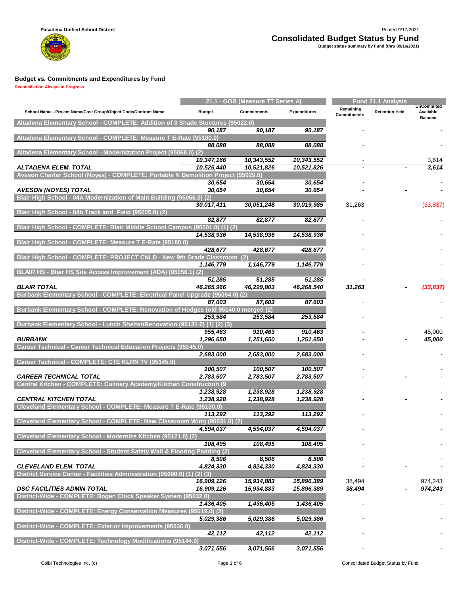

|                                                                                    |               | 21.1 - GOB (Measure TT Series A) |                     |                                 | <b>Fund 21.1 Analysis</b> |                                                  |  |  |
|------------------------------------------------------------------------------------|---------------|----------------------------------|---------------------|---------------------------------|---------------------------|--------------------------------------------------|--|--|
| School Name - Project Name/Cost Group/Object Code/Contract Name                    | <b>Budget</b> | <b>Commitments</b>               | <b>Expenditures</b> | Remaining<br><b>Commitments</b> | <b>Retention Held</b>     | <b>UnCommited</b><br>Available<br><b>Balance</b> |  |  |
| Altadena Elementary School - COMPLETE: Addition of 3 Shade Stuctures (95022.0)     |               |                                  |                     |                                 |                           |                                                  |  |  |
|                                                                                    | 90,187        | 90,187                           | 90,187              |                                 |                           |                                                  |  |  |
| Altadena Elementary School - COMPLETE: Measure T E-Rate (95180.0)                  |               |                                  |                     |                                 |                           |                                                  |  |  |
|                                                                                    | 88,088        | 88,088                           | 88,088              |                                 |                           |                                                  |  |  |
| Altadena Elementary School - Modernization Project (95068.0) (2)                   | 10,347,166    | 10,343,552                       | 10,343,552          |                                 |                           | 3,614                                            |  |  |
| ALTADENA ELEM. TOTAL                                                               | 10,525,440    | 10,521,826                       | 10,521,826          |                                 |                           | 3,614                                            |  |  |
| Aveson Charter School (Noyes) - COMPLETE: Portable N Demolition Project (95029.0)  |               |                                  |                     |                                 |                           |                                                  |  |  |
|                                                                                    | 30,654        | 30,654                           | 30,654              |                                 |                           |                                                  |  |  |
| <b>AVESON (NOYES) TOTAL</b>                                                        | 30,654        | 30,654                           | 30,654              |                                 |                           |                                                  |  |  |
| Blair High School - 04A Modernization of Main Building (95056.0) (2)               |               |                                  |                     |                                 |                           |                                                  |  |  |
|                                                                                    | 30,017,411    | 30,051,248                       | 30,019,985          | 31,263                          |                           | (33, 837)                                        |  |  |
| Blair High School - 04b Track and Field (95005.0) (2)                              |               |                                  |                     |                                 |                           |                                                  |  |  |
|                                                                                    | 82,877        | 82,877                           | 82,877              |                                 |                           |                                                  |  |  |
| Blair High School - COMPLETE: Blair Middle School Campus (95001.0) (1) (2)         |               |                                  |                     |                                 |                           |                                                  |  |  |
|                                                                                    | 14,538,936    | 14,538,936                       | 14,538,936          |                                 |                           |                                                  |  |  |
| Blair High School - COMPLETE: Measure T E-Rate (95180.0)                           | 428.677       |                                  |                     |                                 |                           |                                                  |  |  |
| Blair High School - COMPLETE: PROJECT CNLD - New 9th Grade Classroom (2)           |               | 428,677                          | 428,677             |                                 |                           |                                                  |  |  |
|                                                                                    | 1,146,779     | 1,146,779                        | 1,146,779           |                                 |                           |                                                  |  |  |
| BLAIR HS - Blair HS Site Access Improvement (ADA) (95056.1) (2)                    |               |                                  |                     |                                 |                           |                                                  |  |  |
|                                                                                    | 51,285        | 51,285                           | 51,285              |                                 |                           |                                                  |  |  |
| <b>BLAIR TOTAL</b>                                                                 | 46,265,966    | 46,299,803                       | 46,268,540          | 31,263                          |                           | (33,837)                                         |  |  |
| Burbank Elementary School - COMPLETE: Electrical Panel Upgrade (95064.0) (2)       |               |                                  |                     |                                 |                           |                                                  |  |  |
|                                                                                    | 87,603        | 87,603                           | 87,603              |                                 |                           |                                                  |  |  |
| Burbank Elementary School - COMPLETE: Renovation of Hodges (old 95140.0 merged (2) |               |                                  |                     |                                 |                           |                                                  |  |  |
|                                                                                    | 253,584       | 253,584                          | 253,584             |                                 |                           |                                                  |  |  |
| Burbank Elementary School - Lunch Shelter/Renovation (95131.0) (1) (2) (3)         |               |                                  |                     |                                 |                           |                                                  |  |  |
|                                                                                    | 955,463       | 910,463                          | 910,463             |                                 |                           | 45,000                                           |  |  |
| <b>BURBANK</b>                                                                     | 1,296,650     | 1,251,650                        | 1,251,650           |                                 |                           | 45,000                                           |  |  |
| Career Technical - Career Technical Education Projects (95145.0)                   |               |                                  |                     |                                 |                           |                                                  |  |  |
| Career Technical - COMPLETE: CTE KLRN TV (95145.0)                                 | 2,683,000     | 2,683,000                        | 2,683,000           |                                 |                           |                                                  |  |  |
|                                                                                    | 100,507       | 100,507                          | 100,507             |                                 |                           |                                                  |  |  |
| <b>CAREER TECHNICAL TOTAL</b>                                                      | 2,783,507     | 2,783,507                        | 2,783,507           |                                 |                           |                                                  |  |  |
| Central Kitchen - COMPLETE: Culinary Academy/Kitchen Construction (9               |               |                                  |                     |                                 |                           |                                                  |  |  |
|                                                                                    | 1,238,928     | 1,238,928                        | 1,238,928           |                                 |                           |                                                  |  |  |
| <b>CENTRAL KITCHEN TOTAL</b>                                                       | 1,238,928     | 1,238,928                        | 1,238,928           |                                 |                           |                                                  |  |  |
| Cleveland Elementary School - COMPLETE: Measure T E-Rate (95180.0)                 |               |                                  |                     |                                 |                           |                                                  |  |  |
|                                                                                    | 113,292       | 113,292                          | 113,292             |                                 |                           |                                                  |  |  |
| Cleveland Elementary School - COMPLETE: New Classroom Wing (95031.0) (2)           |               |                                  |                     |                                 |                           |                                                  |  |  |
|                                                                                    | 4,594,037     | 4,594,037                        | 4.594.037           |                                 |                           |                                                  |  |  |
| Cleveland Elementary School - Modernize Kitchen (95121.0) (2)                      | 108,495       | 108,495                          | 108,495             |                                 |                           |                                                  |  |  |
| Cleveland Elementary School - Student Safety Wall & Flooring Padding (2)           |               |                                  |                     |                                 |                           |                                                  |  |  |
|                                                                                    | 8,506         | 8,506                            | 8,506               |                                 |                           |                                                  |  |  |
| <b>CLEVELAND ELEM. TOTAL</b>                                                       | 4,824,330     | 4,824,330                        | 4,824,330           |                                 |                           |                                                  |  |  |
| District Service Center - Facilities Administration (95000.0) (1)                  | $(2)$ $(3)$   |                                  |                     |                                 |                           |                                                  |  |  |
|                                                                                    | 16,909,126    | 15,934,883                       | 15,896,389          | 38,494                          |                           | 974,243                                          |  |  |
| <b>DSC FACILITIES ADMIN TOTAL</b>                                                  | 16,909,126    | 15,934,883                       | 15,896,389          | 38,494                          |                           | 974,243                                          |  |  |
| District-Wide - COMPLETE: Bogen Clock Speaker System (95032.0)                     |               |                                  |                     |                                 |                           |                                                  |  |  |
|                                                                                    | 1,436,405     | 1,436,405                        | 1,436,405           |                                 |                           |                                                  |  |  |
| District-Wide - COMPLETE: Energy Conservation Measures (95019.0) (2)               |               |                                  |                     |                                 |                           |                                                  |  |  |
|                                                                                    | 5,029,386     | 5,029,386                        | 5,029,386           |                                 |                           |                                                  |  |  |
| District-Wide - COMPLETE: Exterior Improvements (95036.0)                          |               |                                  |                     |                                 |                           |                                                  |  |  |
|                                                                                    | 42,112        | 42,112                           | 42,112              |                                 |                           |                                                  |  |  |
| District-Wide - COMPLETE: Technology Modifications (95144.0)                       |               |                                  |                     |                                 |                           |                                                  |  |  |
|                                                                                    | 3,071,556     | 3,071,556                        | 3,071,556           |                                 |                           |                                                  |  |  |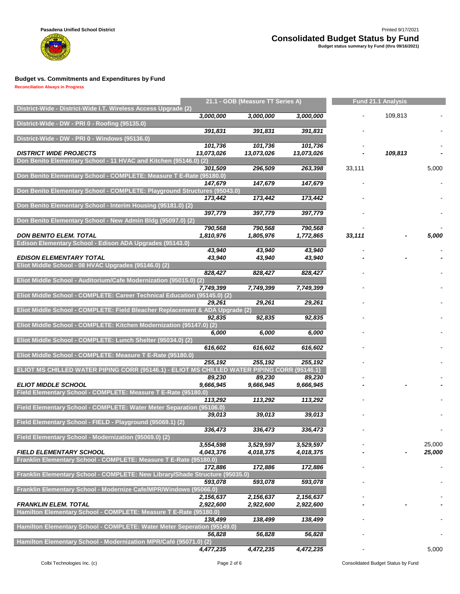**Reconciliation Always in Progress**

w

|                                                                                                  |                      | 21.1 - GOB (Measure TT Series A) |                      | <b>Fund 21.1 Analysis</b> |         |        |
|--------------------------------------------------------------------------------------------------|----------------------|----------------------------------|----------------------|---------------------------|---------|--------|
| District-Wide - District-Wide I.T. Wireless Access Upgrade (2)                                   | 3,000,000            | 3,000,000                        | 3,000,000            |                           | 109,813 |        |
| District-Wide - DW - PRI 0 - Roofing (95135.0)                                                   |                      |                                  |                      |                           |         |        |
|                                                                                                  | 391,831              | 391,831                          | 391,831              |                           |         |        |
| District-Wide - DW - PRI 0 - Windows (95136.0)                                                   |                      |                                  |                      |                           |         |        |
| <b>DISTRICT WIDE PROJECTS</b>                                                                    | 101,736              | 101,736                          | 101,736              |                           |         |        |
| Don Benito Elementary School - 11 HVAC and Kitchen (95146.0) (2)                                 | 13,073,026           | 13,073,026                       | 13,073,026           |                           | 109,813 |        |
|                                                                                                  | 301,509              | 296,509                          | 263,398              | 33,111                    |         | 5,000  |
| Don Benito Elementary School - COMPLETE: Measure T E-Rate (95180.0)                              |                      |                                  |                      |                           |         |        |
|                                                                                                  | 147,679              | 147,679                          | 147,679              |                           |         |        |
| Don Benito Elementary School - COMPLETE: Playground Structures (95043.0)                         | 173,442              | 173,442                          | 173,442              |                           |         |        |
| Don Benito Elementary School - Interim Housing (95181.0) (2)                                     |                      |                                  |                      |                           |         |        |
|                                                                                                  | 397,779              | 397,779                          | 397,779              |                           |         |        |
| Don Benito Elementary School - New Admin Bldg (95097.0) (2)                                      |                      |                                  |                      |                           |         |        |
| <b>DON BENITO ELEM. TOTAL</b>                                                                    | 790,568<br>1,810,976 | 790,568<br>1,805,976             | 790,568<br>1,772,865 | 33,111                    |         | 5,000  |
| Edison Elementary School - Edison ADA Upgrades (95143.0)                                         |                      |                                  |                      |                           |         |        |
|                                                                                                  | 43,940               | 43,940                           | 43,940               |                           |         |        |
| <b>EDISON ELEMENTARY TOTAL</b>                                                                   | 43,940               | 43,940                           | 43,940               |                           |         |        |
| Eliot Middle School - 08 HVAC Upgrades (95146.0) (2)                                             |                      |                                  |                      |                           |         |        |
| Eliot Middle School - Auditorium/Cafe Modernization (95015.0) (2)                                | 828,427              | 828,427                          | 828,427              |                           |         |        |
|                                                                                                  | 7,749,399            | 7,749,399                        | 7,749,399            |                           |         |        |
| Eliot Middle School - COMPLETE: Career Technical Education (95145.0) (2)                         |                      |                                  |                      |                           |         |        |
|                                                                                                  | 29,261               | 29,261                           | 29,261               |                           |         |        |
| Eliot Middle School - COMPLETE: Field Bleacher Replacement & ADA Upgrade (2)                     | 92,835               | 92,835                           | 92,835               |                           |         |        |
| Eliot Middle School - COMPLETE: Kitchen Modernization (95147.0) (2)                              |                      |                                  |                      |                           |         |        |
|                                                                                                  | 6,000                | 6,000                            | 6,000                |                           |         |        |
| Eliot Middle School - COMPLETE: Lunch Shelter (95034.0) (2)                                      |                      |                                  |                      |                           |         |        |
| Eliot Middle School - COMPLETE: Measure T E-Rate (95180.0)                                       | 616,602              | 616,602                          | 616,602              |                           |         |        |
|                                                                                                  | 255,192              | 255,192                          | 255,192              |                           |         |        |
| ELIOT MS CHILLED WATER PIPING CORR (95146.1) - ELIOT MS CHILLED WATER PIPING CORR (95146.1)      |                      |                                  |                      |                           |         |        |
|                                                                                                  | 89,230               | 89,230                           | 89,230               |                           |         |        |
| <b>ELIOT MIDDLE SCHOOL</b><br>Field Elementary School - COMPLETE: Measure T E-Rate (95180.0)     | 9,666,945            | 9,666,945                        | 9,666,945            |                           |         |        |
|                                                                                                  | 113,292              | 113,292                          | 113,292              |                           |         |        |
| Field Elementary School - COMPLETE: Water Meter Separation (95106.0)                             |                      |                                  |                      |                           |         |        |
|                                                                                                  | 39,013               | 39,013                           | 39,013               |                           |         |        |
| Field Elementary School - FIELD - Playground (95069.1) (2)                                       |                      | 336,473                          | 336,473              |                           |         |        |
| Field Elementary School - Modernization (95069.0) (2)                                            | 336,473              |                                  |                      |                           |         |        |
|                                                                                                  | 3,554,598            | 3,529,597                        | 3,529,597            |                           |         | 25,000 |
| <b>FIELD ELEMENTARY SCHOOL</b>                                                                   | 4,043,376            | 4,018,375                        | 4,018,375            |                           |         | 25,000 |
| Franklin Elementary School - COMPLETE: Measure T E-Rate (95180.0)                                |                      |                                  |                      |                           |         |        |
| Franklin Elementary School - COMPLETE: New Library/Shade Structure (95035.0)                     | 172,886              | 172,886                          | 172,886              |                           |         |        |
|                                                                                                  | 593,078              | 593,078                          | 593,078              |                           |         |        |
| Franklin Elementary School - Modernize Cafe/MPR/Windows (95066.0)                                |                      |                                  |                      |                           |         |        |
|                                                                                                  | 2,156,637            | 2,156,637                        | 2,156,637            |                           |         |        |
| <b>FRANKLIN ELEM. TOTAL</b><br>Hamilton Elementary School - COMPLETE: Measure T E-Rate (95180.0) | 2,922,600            | 2,922,600                        | 2,922,600            |                           |         |        |
|                                                                                                  | 138,499              | 138,499                          | 138,499              |                           |         |        |
| Hamilton Elementary School - COMPLETE: Water Meter Seperation (95149.0)                          |                      |                                  |                      |                           |         |        |
|                                                                                                  | 56,828               | 56,828                           | 56,828               |                           |         |        |
| Hamilton Elementary School - Modernization MPR/Café (95071.0) (2)                                |                      |                                  |                      |                           |         |        |
|                                                                                                  | 4,477,235            | 4,472,235                        | 4,472,235            |                           |         | 5,000  |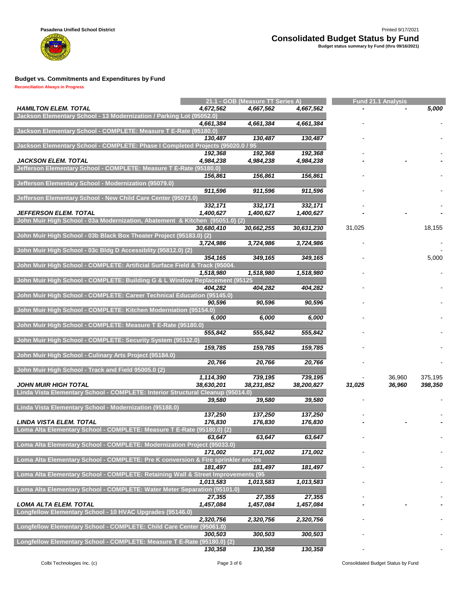

**Reconciliation Always in Progress**

w

|                                                                                                     |                         | 21.1 - GOB (Measure TT Series A) |                       | <b>Fund 21.1 Analysis</b> |                  |                    |  |  |
|-----------------------------------------------------------------------------------------------------|-------------------------|----------------------------------|-----------------------|---------------------------|------------------|--------------------|--|--|
| <b>HAMILTON ELEM. TOTAL</b><br>Jackson Elementary School - 13 Modernization / Parking Lot (95052.0) | 4,672,562               | 4,667,562                        | 4,667,562             |                           |                  | 5,000              |  |  |
|                                                                                                     | 4,661,384               | 4,661,384                        | 4,661,384             |                           |                  |                    |  |  |
| Jackson Elementary School - COMPLETE: Measure T E-Rate (95180.0)                                    | 130,487                 | 130,487                          | 130,487               |                           |                  |                    |  |  |
| Jackson Elementary School - COMPLETE: Phase I Completed Projects (95020.0 / 95                      |                         |                                  |                       |                           |                  |                    |  |  |
|                                                                                                     | 192,368                 | 192,368                          | 192,368               |                           |                  |                    |  |  |
| <b>JACKSON ELEM. TOTAL</b>                                                                          | 4,984,238               | 4,984,238                        | 4,984,238             |                           |                  |                    |  |  |
| Jefferson Elementary School - COMPLETE: Measure T E-Rate (95180.0)                                  | 156,861                 | 156,861                          | 156,861               |                           |                  |                    |  |  |
| Jefferson Elementary School - Modernization (95079.0)                                               | 911,596                 | 911,596                          | 911,596               |                           |                  |                    |  |  |
| Jefferson Elementary School - New Child Care Center (95073.0)                                       |                         |                                  |                       |                           |                  |                    |  |  |
|                                                                                                     | 332, 171                | 332,171                          | 332, 171              |                           |                  |                    |  |  |
| JEFFERSON ELEM. TOTAL                                                                               | 1,400,627               | 1,400,627                        | 1,400,627             |                           |                  |                    |  |  |
| John Muir High School - 03a Modernization, Abatement & Kitchen (95051.0) (2)                        | 30,680,410              | 30,662,255                       | 30,631,230            | 31,025                    |                  | 18,155             |  |  |
| John Muir High School - 03b Black Box Theater Project (95183.0) (2)                                 |                         |                                  |                       |                           |                  |                    |  |  |
|                                                                                                     | 3,724,986               | 3,724,986                        | 3,724,986             |                           |                  |                    |  |  |
| John Muir High School - 03c Bldg D Accessiblity (95812.0) (2)                                       | 354,165                 | 349,165                          | 349,165               |                           |                  | 5,000              |  |  |
| John Muir High School - COMPLETE: Artificial Surface Field & Track (95004.                          |                         |                                  |                       |                           |                  |                    |  |  |
|                                                                                                     | 1,518,980               | 1,518,980                        | 1,518,980             |                           |                  |                    |  |  |
| John Muir High School - COMPLETE: Building G & L Window Replacement (95125                          |                         |                                  |                       |                           |                  |                    |  |  |
| John Muir High School - COMPLETE: Career Technical Education (95145.0)                              | 404,282                 | 404,282                          | 404,282               |                           |                  |                    |  |  |
|                                                                                                     | 90,596                  | 90,596                           | 90.596                |                           |                  |                    |  |  |
| John Muir High School - COMPLETE: Kitchen Moderniation (95154.0)                                    |                         |                                  |                       |                           |                  |                    |  |  |
| John Muir High School - COMPLETE: Measure T E-Rate (95180.0)                                        | 6,000                   | 6,000                            | 6,000                 |                           |                  |                    |  |  |
|                                                                                                     | 555,842                 | 555,842                          | 555,842               |                           |                  |                    |  |  |
| John Muir High School - COMPLETE: Security System (95132.0)                                         | 159,785                 | 159,785                          | 159,785               |                           |                  |                    |  |  |
| John Muir High School - Culinary Arts Project (95184.0)                                             |                         |                                  |                       |                           |                  |                    |  |  |
|                                                                                                     | 20,766                  | 20,766                           | 20,766                |                           |                  |                    |  |  |
| John Muir High School - Track and Field 95005.0 (2)                                                 |                         |                                  |                       |                           |                  |                    |  |  |
| <b>JOHN MUIR HIGH TOTAL</b>                                                                         | 1,114,390<br>38,630,201 | 739,195<br>38,231,852            | 739,195<br>38,200,827 | 31,025                    | 36,960<br>36,960 | 375,195<br>398,350 |  |  |
| Linda Vista Elementary School - COMPLETE: Interior Structural Cleanup (95014.0)                     |                         |                                  |                       |                           |                  |                    |  |  |
|                                                                                                     | 39,580                  | 39,580                           | 39,580                |                           |                  |                    |  |  |
| Linda Vista Elementary School - Modernization (95188.0)                                             |                         |                                  |                       |                           |                  |                    |  |  |
| <b>LINDA VISTA ELEM. TOTAL</b>                                                                      | 137,250<br>176,830      | 137,250<br>176,830               | 137,250<br>176,830    |                           |                  |                    |  |  |
| Loma Alta Elementary School - COMPLETE: Measure T E-Rate (95180.0) (2)                              |                         |                                  |                       |                           |                  |                    |  |  |
|                                                                                                     | 63,647                  | 63,647                           | 63,647                |                           |                  |                    |  |  |
| Loma Alta Elementary School - COMPLETE: Modernization Project (95033.0)                             | 171,002                 | 171,002                          | 171,002               |                           |                  |                    |  |  |
| Loma Alta Elementary School - COMPLETE: Pre K conversion & Fire sprinkler enclos                    |                         |                                  |                       |                           |                  |                    |  |  |
|                                                                                                     | 181.497                 | 181,497                          | 181,497               |                           |                  |                    |  |  |
| Loma Alta Elementary School - COMPLETE: Retaining Wall & Street Improvements (95                    |                         |                                  |                       |                           |                  |                    |  |  |
|                                                                                                     | 1,013,583               | 1,013,583                        | 1,013,583             |                           |                  |                    |  |  |
| Loma Alta Elementary School - COMPLETE: Water Meter Separation (95101.0)                            | 27,355                  | 27,355                           | 27,355                |                           |                  |                    |  |  |
| LOMA ALTA ELEM. TOTAL                                                                               | 1,457,084               | 1,457,084                        | 1,457,084             |                           |                  |                    |  |  |
| Longfellow Elementary School - 10 HVAC Upgrades (95146.0)                                           |                         |                                  |                       |                           |                  |                    |  |  |
| Longfellow Elementary School - COMPLETE: Child Care Center (95061.0)                                | 2,320,756               | 2,320,756                        | 2,320,756             |                           |                  |                    |  |  |
|                                                                                                     | 300,503                 | 300,503                          | 300,503               |                           |                  |                    |  |  |
| Longfellow Elementary School - COMPLETE: Measure T E-Rate (95180.0) (2)                             |                         |                                  |                       |                           |                  |                    |  |  |
|                                                                                                     | 130,358                 | 130,358                          | 130,358               |                           |                  |                    |  |  |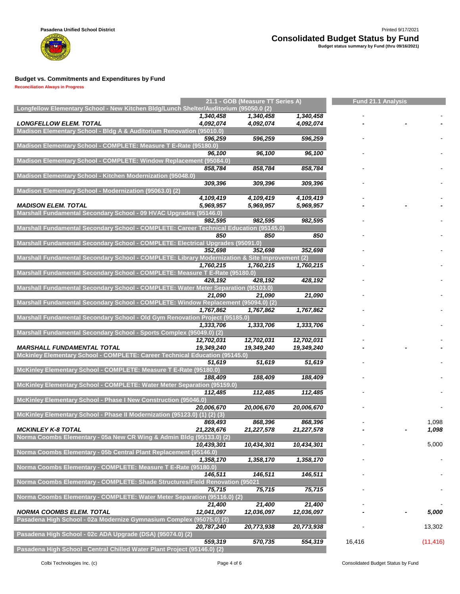

|                                                                                                | 21.1 - GOB (Measure TT Series A) |            |            |        | <b>Fund 21.1 Analysis</b> |           |  |  |
|------------------------------------------------------------------------------------------------|----------------------------------|------------|------------|--------|---------------------------|-----------|--|--|
| Longfellow Elementary School - New Kitchen Bldg/Lunch Shelter/Auditorium (95050.0 (2)          |                                  |            |            |        |                           |           |  |  |
|                                                                                                | 1,340,458                        | 1,340,458  | 1,340,458  |        |                           |           |  |  |
| <b>LONGFELLOW ELEM. TOTAL</b>                                                                  | 4,092,074                        | 4,092,074  | 4,092,074  |        |                           |           |  |  |
| Madison Elementary School - Bldg A & Auditorium Renovation (95010.0)                           |                                  |            |            |        |                           |           |  |  |
|                                                                                                | 596.259                          | 596,259    | 596,259    |        |                           |           |  |  |
| Madison Elementary School - COMPLETE: Measure T E-Rate (95180.0)                               |                                  |            |            |        |                           |           |  |  |
|                                                                                                | 96,100                           | 96,100     | 96,100     |        |                           |           |  |  |
| Madison Elementary School - COMPLETE: Window Replacement (95084.0)                             |                                  |            |            |        |                           |           |  |  |
|                                                                                                | 858,784                          | 858,784    | 858,784    |        |                           |           |  |  |
| Madison Elementary School - Kitchen Modernization (95048.0)                                    |                                  |            |            |        |                           |           |  |  |
|                                                                                                | 309.396                          | 309,396    | 309,396    |        |                           |           |  |  |
| Madison Elementary School - Modernization (95063.0) (2)                                        |                                  |            |            |        |                           |           |  |  |
| <b>MADISON ELEM. TOTAL</b>                                                                     | 4,109,419                        | 4,109,419  | 4,109,419  |        |                           |           |  |  |
| Marshall Fundamental Secondary School - 09 HVAC Upgrades (95146.0)                             | 5,969,957                        | 5.969.957  | 5,969,957  |        |                           |           |  |  |
|                                                                                                |                                  |            |            |        |                           |           |  |  |
|                                                                                                | 982,595                          | 982,595    | 982,595    |        |                           |           |  |  |
| Marshall Fundamental Secondary School - COMPLETE: Career Technical Education (95145.0)         | 850                              | 850        |            |        |                           |           |  |  |
|                                                                                                |                                  |            | 850        |        |                           |           |  |  |
| Marshall Fundamental Secondary School - COMPLETE: Electrical Upgrades (95091.0)                |                                  | 352,698    | 352,698    |        |                           |           |  |  |
| Marshall Fundamental Secondary School - COMPLETE: Library Modernization & Site Improvement (2) | 352,698                          |            |            |        |                           |           |  |  |
|                                                                                                |                                  |            |            |        |                           |           |  |  |
| Marshall Fundamental Secondary School - COMPLETE: Measure T E-Rate (95180.0)                   | 1,760,215                        | 1,760,215  | 1,760,215  |        |                           |           |  |  |
|                                                                                                | 428,192                          | 428,192    | 428,192    |        |                           |           |  |  |
| Marshall Fundamental Secondary School - COMPLETE: Water Meter Separation (95103.0)             |                                  |            |            |        |                           |           |  |  |
|                                                                                                |                                  |            |            |        |                           |           |  |  |
| Marshall Fundamental Secondary School - COMPLETE: Window Replacement (95094.0) (2)             | 21,090                           | 21,090     | 21,090     |        |                           |           |  |  |
|                                                                                                |                                  |            |            |        |                           |           |  |  |
| Marshall Fundamental Secondary School - Old Gym Renovation Project (95185.0)                   | 1,767,862                        | 1,767,862  | 1,767,862  |        |                           |           |  |  |
|                                                                                                | 1,333,706                        | 1,333,706  |            |        |                           |           |  |  |
| Marshall Fundamental Secondary School - Sports Complex (95049.0) (2)                           |                                  |            | 1,333,706  |        |                           |           |  |  |
|                                                                                                | 12,702,031                       | 12,702,031 | 12,702,031 |        |                           |           |  |  |
| <b>MARSHALL FUNDAMENTAL TOTAL</b>                                                              | 19,349,240                       | 19,349,240 | 19,349,240 |        |                           |           |  |  |
| Mckinley Elementary School - COMPLETE: Career Technical Education (95145.0)                    |                                  |            |            |        |                           |           |  |  |
|                                                                                                | 51,619                           | 51,619     | 51,619     |        |                           |           |  |  |
| McKinley Elementary School - COMPLETE: Measure T E-Rate (95180.0)                              |                                  |            |            |        |                           |           |  |  |
|                                                                                                | 188,409                          | 188,409    | 188,409    |        |                           |           |  |  |
| McKinley Elementary School - COMPLETE: Water Meter Separation (95159.0)                        |                                  |            |            |        |                           |           |  |  |
|                                                                                                | 112,485                          | 112,485    | 112,485    |        |                           |           |  |  |
| McKinley Elementary School - Phase I New Construction (95046.0)                                |                                  |            |            |        |                           |           |  |  |
|                                                                                                | 20,006,670                       | 20,006,670 | 20,006,670 |        |                           |           |  |  |
| McKinley Elementary School - Phase II Modernization (95123.0) (1) (2) (3)                      |                                  |            |            |        |                           |           |  |  |
|                                                                                                | 869,493                          | 868,396    | 868,396    |        |                           | 1,098     |  |  |
| <b>MCKINLEY K-8 TOTAL</b>                                                                      | 21,228,676                       | 21,227,578 | 21,227,578 |        |                           | 1,098     |  |  |
| Norma Coombs Elementary - 05a New CR Wing & Admin Bldg (95133.0) (2)                           |                                  |            |            |        |                           |           |  |  |
|                                                                                                | 10,439,301                       | 10,434,301 | 10,434,301 |        |                           | 5,000     |  |  |
| Norma Coombs Elementary - 05b Central Plant Replacement (95146.0)                              |                                  |            |            |        |                           |           |  |  |
|                                                                                                | 1,358,170                        | 1,358,170  | 1,358,170  |        |                           |           |  |  |
| Norma Coombs Elementary - COMPLETE: Measure T E-Rate (95180.0)                                 |                                  |            |            |        |                           |           |  |  |
|                                                                                                | 146,511                          | 146,511    | 146,511    |        |                           |           |  |  |
| Norma Coombs Elementary - COMPLETE: Shade Structures/Field Renovation (95021                   |                                  |            |            |        |                           |           |  |  |
|                                                                                                | 75,715                           | 75,715     | 75,715     |        |                           |           |  |  |
| Norma Coombs Elementary - COMPLETE: Water Meter Separation (95116.0) (2)                       |                                  |            |            |        |                           |           |  |  |
|                                                                                                | 21,400                           | 21,400     | 21,400     |        |                           |           |  |  |
| <b>NORMA COOMBS ELEM. TOTAL</b>                                                                | 12,041,097                       | 12,036,097 | 12,036,097 |        |                           | 5,000     |  |  |
| Pasadena High School - 02a Modernize Gymnasium Complex (95075.0) (2)                           |                                  |            |            |        |                           |           |  |  |
|                                                                                                | 20,787,240                       | 20,773,938 | 20,773,938 |        |                           | 13,302    |  |  |
| Pasadena High School - 02c ADA Upgrade (DSA) (95074.0) (2)                                     |                                  |            |            |        |                           |           |  |  |
|                                                                                                | 559,319                          | 570,735    | 554,319    | 16,416 |                           | (11, 416) |  |  |
| Pasadena High School - Central Chilled Water Plant Project (95146.0) (2)                       |                                  |            |            |        |                           |           |  |  |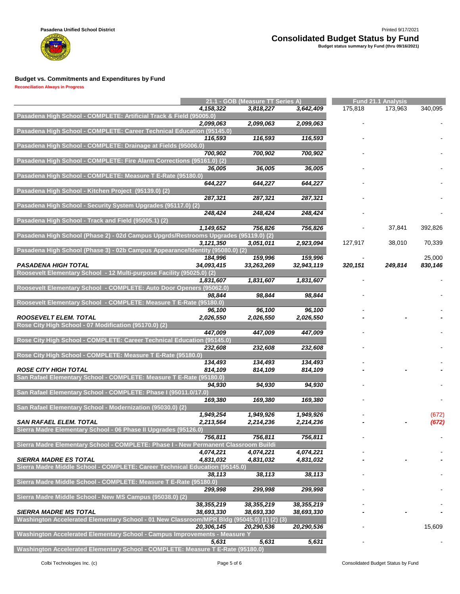

|                                                                                            |             | 21.1 - GOB (Measure TT Series A) |              |         | <b>Fund 21.1 Analysis</b> |         |  |  |
|--------------------------------------------------------------------------------------------|-------------|----------------------------------|--------------|---------|---------------------------|---------|--|--|
|                                                                                            | 4, 158, 322 | 3,818,227                        | 3,642,409    | 175,818 | 173,963                   | 340,095 |  |  |
| Pasadena High School - COMPLETE: Artificial Track & Field (95005.0)                        |             |                                  |              |         |                           |         |  |  |
|                                                                                            | 2,099,063   | 2,099,063                        | 2,099,063    |         |                           |         |  |  |
|                                                                                            |             |                                  |              |         |                           |         |  |  |
| Pasadena High School - COMPLETE: Career Technical Education (95145.0)                      |             |                                  |              |         |                           |         |  |  |
|                                                                                            | 116,593     | 116,593                          | 116,593      |         |                           |         |  |  |
| Pasadena High School - COMPLETE: Drainage at Fields (95006.0)                              |             |                                  |              |         |                           |         |  |  |
|                                                                                            | 700,902     | 700,902                          | 700,902      |         |                           |         |  |  |
| Pasadena High School - COMPLETE: Fire Alarm Corrections (95161.0) (2)                      |             |                                  |              |         |                           |         |  |  |
|                                                                                            |             |                                  |              |         |                           |         |  |  |
|                                                                                            | 36,005      | 36,005                           | 36,005       |         |                           |         |  |  |
| Pasadena High School - COMPLETE: Measure T E-Rate (95180.0)                                |             |                                  |              |         |                           |         |  |  |
|                                                                                            | 644,227     | 644,227                          | 644,227      |         |                           |         |  |  |
| Pasadena High School - Kitchen Project (95139.0) (2)                                       |             |                                  |              |         |                           |         |  |  |
|                                                                                            | 287,321     | 287,321                          | 287,321      |         |                           |         |  |  |
| Pasadena High School - Security System Upgrades (95117.0) (2)                              |             |                                  |              |         |                           |         |  |  |
|                                                                                            |             |                                  |              |         |                           |         |  |  |
|                                                                                            | 248,424     | 248,424                          | 248,424      |         |                           |         |  |  |
| Pasadena High School - Track and Field (95005.1) (2)                                       |             |                                  |              |         |                           |         |  |  |
|                                                                                            | 1,149,652   | 756,826                          | 756,826      |         | 37,841                    | 392,826 |  |  |
| Pasadena High School (Phase 2) - 02d Campus Upgrds/Restrooms Upgrades (95119.0) (2)        |             |                                  |              |         |                           |         |  |  |
|                                                                                            | 3,121,350   | 3,051,011                        | 2,923,094    | 127,917 | 38,010                    | 70,339  |  |  |
|                                                                                            |             |                                  |              |         |                           |         |  |  |
| Pasadena High School (Phase 3) - 02b Campus Appearance/Identity (95080.0) (2)              |             |                                  |              |         |                           |         |  |  |
|                                                                                            | 184,996     | 159,996                          | 159,996      |         |                           | 25,000  |  |  |
| <b>PASADENA HIGH TOTAL</b>                                                                 | 34,093,415  | 33,263,269                       | 32,943,119   | 320,151 | 249,814                   | 830,146 |  |  |
| Roosevelt Elementary School - 12 Multi-purpose Facility (95025.0) (2)                      |             |                                  |              |         |                           |         |  |  |
|                                                                                            | 1,831,607   | 1,831,607                        | 1,831,607    |         |                           |         |  |  |
|                                                                                            |             |                                  |              |         |                           |         |  |  |
| Roosevelt Elementary School  - COMPLETE: Auto Door Openers (95062.0)                       |             |                                  |              |         |                           |         |  |  |
|                                                                                            | 98,844      | 98,844                           | 98,844       |         |                           |         |  |  |
| Roosevelt Elementary School - COMPLETE: Measure T E-Rate (95180.0)                         |             |                                  |              |         |                           |         |  |  |
|                                                                                            | 96,100      | 96,100                           | 96,100       |         |                           |         |  |  |
| <b>ROOSEVELT ELEM. TOTAL</b>                                                               | 2,026,550   | 2,026,550                        | 2,026,550    |         |                           |         |  |  |
| Rose City High School - 07 Modification (95170.0) (2)                                      |             |                                  |              |         |                           |         |  |  |
|                                                                                            |             |                                  |              |         |                           |         |  |  |
|                                                                                            | 447,009     | 447,009                          | 447,009      |         |                           |         |  |  |
| Rose City High School - COMPLETE: Career Technical Education (95145.0)                     |             |                                  |              |         |                           |         |  |  |
|                                                                                            | 232,608     | 232,608                          | 232,608      |         |                           |         |  |  |
| Rose City High School - COMPLETE: Measure T E-Rate (95180.0)                               |             |                                  |              |         |                           |         |  |  |
|                                                                                            | 134,493     | 134,493                          | 134,493      |         |                           |         |  |  |
|                                                                                            |             |                                  |              |         |                           |         |  |  |
| <b>ROSE CITY HIGH TOTAL</b>                                                                | 814,109     | 814,109                          | 814,109      |         |                           |         |  |  |
| San Rafael Elementary School - COMPLETE: Measure T E-Rate (95180.0)                        |             |                                  |              |         |                           |         |  |  |
|                                                                                            | 94,930      | 94,930                           | 94,930       |         |                           |         |  |  |
| San Rafael Elementary School - COMPLETE: Phase I (95011.0/17.0)                            |             |                                  |              |         |                           |         |  |  |
|                                                                                            | 169,380     | 169,380                          | 169,380      |         |                           |         |  |  |
|                                                                                            |             |                                  |              |         |                           |         |  |  |
| San Rafael Elementary School - Modernization (95030.0) (2)                                 |             |                                  |              |         |                           |         |  |  |
|                                                                                            | 1,949,254   | 1,949,926                        | 1,949,926    |         |                           | (672)   |  |  |
| <b>SAN RAFAEL ELEM. TOTAL</b>                                                              | 2,213,564   | 2,214,236                        | 2,214,236    |         |                           | (672)   |  |  |
| Sierra Madre Elementary School - 06 Phase II Upgrades (95126.0)                            |             |                                  |              |         |                           |         |  |  |
|                                                                                            | 756,811     | 756,811                          | 756,811      |         |                           |         |  |  |
|                                                                                            |             |                                  |              |         |                           |         |  |  |
| Sierra Madre Elementary School - COMPLETE: Phase I - New Permanent Classroom Buildi        |             |                                  |              |         |                           |         |  |  |
|                                                                                            | 4,074,221   | 4,074,221                        | 4,074,221    |         |                           |         |  |  |
| <b>SIERRA MADRE ES TOTAL</b>                                                               | 4,831,032   | 4,831,032                        | 4,831,032    |         |                           |         |  |  |
| Sierra Madre Middle School - COMPLETE: Career Technical Education (95145.0)                |             |                                  |              |         |                           |         |  |  |
|                                                                                            | 38,113      | 38,113                           | 38,113       |         |                           |         |  |  |
|                                                                                            |             |                                  |              |         |                           |         |  |  |
| Sierra Madre Middle School - COMPLETE: Measure T E-Rate (95180.0)                          |             |                                  |              |         |                           |         |  |  |
|                                                                                            | 299,998     | 299,998                          | 299,998      |         |                           |         |  |  |
| Sierra Madre Middle School - New MS Campus (95038.0) (2)                                   |             |                                  |              |         |                           |         |  |  |
|                                                                                            | 38,355,219  | 38, 355, 219                     | 38, 355, 219 |         |                           |         |  |  |
| <b>SIERRA MADRE MS TOTAL</b>                                                               | 38,693,330  | 38,693,330                       | 38,693,330   |         |                           |         |  |  |
|                                                                                            |             |                                  |              |         |                           |         |  |  |
| Washington Accelerated Elementary School - 01 New Classroom/MPR Bldg (95045.0) (1) (2) (3) |             |                                  |              |         |                           |         |  |  |
|                                                                                            | 20,306,145  | 20,290,536                       | 20,290,536   |         |                           | 15,609  |  |  |
| Washington Accelerated Elementary School - Campus Improvements - Measure Y                 |             |                                  |              |         |                           |         |  |  |
|                                                                                            | 5,631       | 5,631                            | 5,631        |         |                           |         |  |  |
| Washington Accelerated Elementary School - COMPLETE: Measure T E-Rate (95180.0)            |             |                                  |              |         |                           |         |  |  |
|                                                                                            |             |                                  |              |         |                           |         |  |  |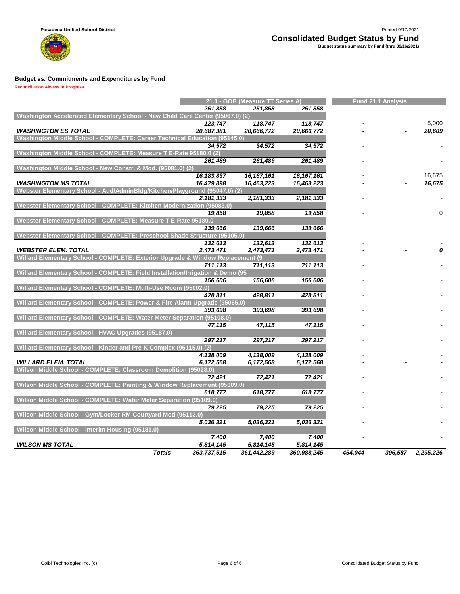

|                                                                                 |              | 21.1 - GOB (Measure TT Series A) |              | Fund 21.1 Analysis |         |           |  |  |
|---------------------------------------------------------------------------------|--------------|----------------------------------|--------------|--------------------|---------|-----------|--|--|
|                                                                                 | 251,858      | 251,858                          | 251,858      |                    |         |           |  |  |
| Washington Accelerated Elementary School - New Child Care Center (95067.0) (2)  |              |                                  |              |                    |         |           |  |  |
|                                                                                 | 123,747      | 118,747                          | 118,747      |                    |         | 5,000     |  |  |
| <b>WASHINGTON ES TOTAL</b>                                                      | 20,687,381   | 20,666,772                       | 20,666,772   |                    |         | 20,609    |  |  |
| Washington Middle School - COMPLETE: Career Technical Education (95145.0)       |              |                                  |              |                    |         |           |  |  |
|                                                                                 | 34,572       | 34,572                           | 34,572       |                    |         |           |  |  |
| Washington Middle School - COMPLETE: Measure T E-Rate 95180.0 (2)               |              |                                  |              |                    |         |           |  |  |
|                                                                                 | 261,489      | 261,489                          | 261,489      |                    |         |           |  |  |
| Washington Middle School - New Constr. & Mod. (95081.0) (2)                     |              |                                  |              |                    |         |           |  |  |
|                                                                                 | 16, 183, 837 | 16, 167, 161                     | 16, 167, 161 |                    |         | 16,675    |  |  |
| <b>WASHINGTON MS TOTAL</b>                                                      | 16,479,898   | 16,463,223                       | 16,463,223   |                    |         | 16,675    |  |  |
| Webster Elementary School - Aud/AdminBldg/Kitchen/Playground (95047.0) (2)      |              |                                  |              |                    |         |           |  |  |
|                                                                                 | 2,181,333    | 2,181,333                        | 2,181,333    |                    |         |           |  |  |
| Webster Elementary School - COMPLETE: Kitchen Modernization (95083.0)           |              |                                  |              |                    |         |           |  |  |
|                                                                                 | 19,858       | 19,858                           | 19,858       |                    |         | 0         |  |  |
| Webster Elementary School - COMPLETE: Measure T E-Rate 95180.0                  |              |                                  |              |                    |         |           |  |  |
|                                                                                 | 139.666      | 139,666                          | 139,666      |                    |         |           |  |  |
| Webster Elementary School - COMPLETE: Preschool Shade Structure (95105.0)       |              |                                  |              |                    |         |           |  |  |
|                                                                                 | 132,613      | 132,613                          | 132,613      |                    |         |           |  |  |
| <b>WEBSTER ELEM. TOTAL</b>                                                      | 2,473,471    | 2,473,471                        | 2,473,471    |                    |         |           |  |  |
| Willard Elementary School - COMPLETE: Exterior Upgrade & Window Replacement (9) |              |                                  |              |                    |         |           |  |  |
|                                                                                 | 711,113      | 711,113                          | 711,113      |                    |         |           |  |  |
| Willard Elementary School - COMPLETE: Field Installation/Irrigation & Demo (95  |              |                                  |              |                    |         |           |  |  |
|                                                                                 | 156,606      | 156,606                          | 156,606      |                    |         |           |  |  |
| Willard Elementary School - COMPLETE: Multi-Use Room (95002.0)                  |              |                                  |              |                    |         |           |  |  |
|                                                                                 | 428,811      | 428,811                          | 428,811      |                    |         |           |  |  |
| Willard Elementary School - COMPLETE: Power & Fire Alarm Upgrade (95065.0)      |              |                                  |              |                    |         |           |  |  |
|                                                                                 | 393.698      | 393,698                          | 393,698      |                    |         |           |  |  |
| Willard Elementary School - COMPLETE: Water Meter Separation (95108.0)          |              |                                  |              |                    |         |           |  |  |
|                                                                                 | 47,115       | 47,115                           | 47,115       |                    |         |           |  |  |
| Willard Elementary School - HVAC Upgrades (95187.0)                             |              |                                  |              |                    |         |           |  |  |
|                                                                                 | 297,217      | 297,217                          | 297,217      |                    |         |           |  |  |
| Willard Elementary School - Kinder and Pre-K Complex (95115.0) (2)              |              |                                  |              |                    |         |           |  |  |
|                                                                                 | 4,138,009    | 4,138,009                        | 4,138,009    |                    |         |           |  |  |
| <b>WILLARD ELEM. TOTAL</b>                                                      | 6,172,568    | 6,172,568                        | 6,172,568    |                    |         |           |  |  |
| Wilson Middle School - COMPLETE: Classroom Demolition (95028.0)                 |              |                                  |              |                    |         |           |  |  |
|                                                                                 | 72.421       | 72,421                           | 72,421       |                    |         |           |  |  |
| Wilson Middle School - COMPLETE: Painting & Window Replacement (95009.0)        |              |                                  |              |                    |         |           |  |  |
|                                                                                 | 618,777      | 618,777                          | 618,777      |                    |         |           |  |  |
| Wilson Middle School - COMPLETE: Water Meter Separation (95109.0)               |              |                                  |              |                    |         |           |  |  |
|                                                                                 | 79,225       | 79,225                           | 79,225       |                    |         |           |  |  |
| Wilson Middle School - Gym/Locker RM Courtyard Mod (95113.0)                    |              |                                  |              |                    |         |           |  |  |
|                                                                                 | 5,036,321    | 5,036,321                        | 5,036,321    |                    |         |           |  |  |
| Wilson Middle School - Interim Housing (95181.0)                                |              |                                  |              |                    |         |           |  |  |
|                                                                                 | 7,400        | 7,400                            | 7,400        |                    |         |           |  |  |
| <b>WILSON MS TOTAL</b>                                                          | 5,814,145    | 5,814,145                        | 5,814,145    |                    |         |           |  |  |
| <b>Totals</b>                                                                   | 363,737,515  | 361,442,289                      | 360,988,245  | 454.044            | 396,587 | 2,295,226 |  |  |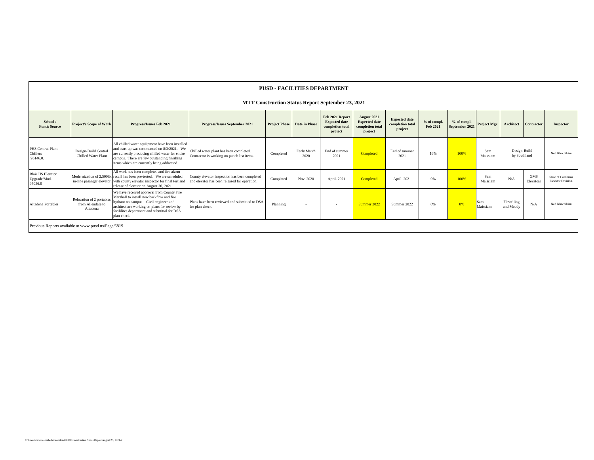#### **PUSD - FACILITIES DEPARTMENT**

**MTT Construction Status Report September 23, 2021**

| School /<br><b>Funds Source</b>                     | <b>Project's Scope of Work</b>                             | Progress/Issues Feb 2021                                                                                                                                                                                                                        | Progress/Issues September 2021                                                                 | <b>Project Phase</b> | Date in Phase       | Feb 2021 Report<br><b>Expected date</b><br>completion total<br>project | August 2021<br><b>Expected date</b><br>completion total<br>project | <b>Expected date</b><br>completion total<br>project | % of compl.<br>Feb 2021 | % of compl.<br>September 2021 | Project Mgr.    | Architect                    | Contractor              | Inspector                                        |
|-----------------------------------------------------|------------------------------------------------------------|-------------------------------------------------------------------------------------------------------------------------------------------------------------------------------------------------------------------------------------------------|------------------------------------------------------------------------------------------------|----------------------|---------------------|------------------------------------------------------------------------|--------------------------------------------------------------------|-----------------------------------------------------|-------------------------|-------------------------------|-----------------|------------------------------|-------------------------|--------------------------------------------------|
| PHS Central Plant<br>Chillers<br>95146.0.           | Design-Build Central<br>Chilled Water Plant                | All chilled water equiipment have been installed<br>and start-up was commenced on 8/3/2021. We<br>are currently producing chilled water for entire<br>campus. There are few outstanding finishing<br>items which are currently being addressed. | Chilled water plant has been completed.<br>Contractor is working on punch list items.          | Completed            | Early March<br>2020 | End of summer<br>2021                                                  | Completed                                                          | End of summer<br>2021                               | 16%                     | 100%                          | Sam<br>Maissiam | Design-Build<br>by Southland |                         | Ned Khachikian                                   |
| <b>Blair HS Elevator</b><br>Upgrade/Mod.<br>95056.0 |                                                            | All work has been completed and fire alarm<br>Modernization of 2,500lb, recall has been pre-tested. We are scheduled<br>in-line pasanger elevator. with county elevator inspector for final test and<br>release of elevator on August 30, 2021  | County elevator inspection has been completed<br>and elevator has been released for operation. | Completed            | Nov. 2020           | April. 2021                                                            | Completed                                                          | April. 2021                                         | 0%                      | 100%                          | Sam<br>Maissiam | N/A                          | <b>GMS</b><br>Elevators | State of California<br><b>Elevator Division.</b> |
| Altadena Portables                                  | Relocation of 2 portables<br>from Allendale to<br>Altadena | We have received approval from County Fire<br>Marshall to install new backflow and fire<br>hydrant on campus. Civil engineer and<br>architect are working on plans for review by<br>facililites department and submittal for DSA<br>plan check. | Plans have been reviewed and submitted to DSA<br>for plan check.                               | Planning             | $\sim$              | $\sim$                                                                 | Summer 2022                                                        | Summer 2022                                         | 0%                      | 0%                            | Sam<br>Maissiam | Flewelling<br>and Moody      | N/A                     | Ned Khachikian                                   |
|                                                     | Previous Reports available at www.pusd.us/Page/6819        |                                                                                                                                                                                                                                                 |                                                                                                |                      |                     |                                                                        |                                                                    |                                                     |                         |                               |                 |                              |                         |                                                  |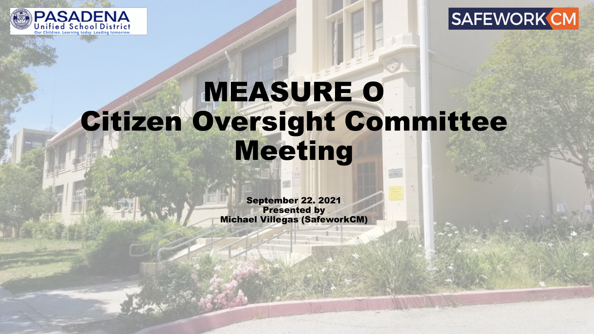



# MEASURE O Citizen Oversight Committee Meeting

September 22. 2021 Presented by Michael Villegas (SafeworkCM)